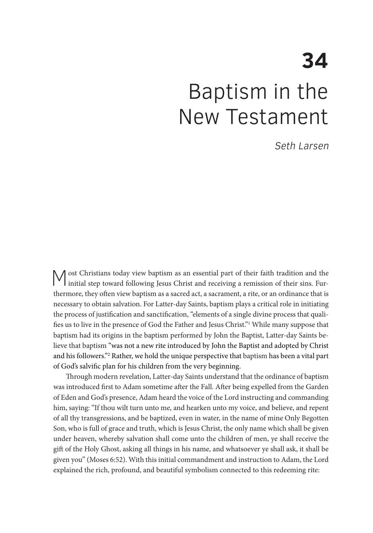# **34**  Baptism in the New Testament

Seth Larsen

Most Christians today view baptism as an essential part of their faith tradition and the initial step toward following Jesus Christ and receiving a remission of their sins. Furthermore, they often view baptism as a sacred act, a sacrament, a rite, or an ordinance that is necessary to obtain salvation. For Latter-day Saints, baptism plays a critical role in initiating the process of justification and sanctification, "elements of a single divine process that qualifies us to live in the presence of God the Father and Jesus Christ."<sup>1</sup> While many suppose that baptism had its origins in the baptism performed by John the Baptist, Latter-day Saints believe that baptism "was not a new rite introduced by John the Baptist and adopted by Christ and his followers."2 Rather, we hold the unique perspective that baptism has been a vital part of God's salvific plan for his children from the very beginning.

Through modern revelation, Latter-day Saints understand that the ordinance of baptism was introduced first to Adam sometime after the Fall. After being expelled from the Garden of Eden and God's presence, Adam heard the voice of the Lord instructing and commanding him, saying: "If thou wilt turn unto me, and hearken unto my voice, and believe, and repent of all thy transgressions, and be baptized, even in water, in the name of mine Only Begotten Son, who is full of grace and truth, which is Jesus Christ, the only name which shall be given under heaven, whereby salvation shall come unto the children of men, ye shall receive the gift of the Holy Ghost, asking all things in his name, and whatsoever ye shall ask, it shall be given you" (Moses 6:52). With this initial commandment and instruction to Adam, the Lord explained the rich, profound, and beautiful symbolism connected to this redeeming rite: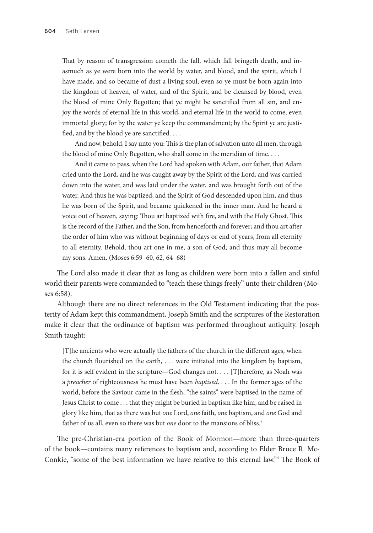That by reason of transgression cometh the fall, which fall bringeth death, and inasmuch as ye were born into the world by water, and blood, and the spirit, which I have made, and so became of dust a living soul, even so ye must be born again into the kingdom of heaven, of water, and of the Spirit, and be cleansed by blood, even the blood of mine Only Begotten; that ye might be sanctified from all sin, and enjoy the words of eternal life in this world, and eternal life in the world to come, even immortal glory; for by the water ye keep the commandment; by the Spirit ye are justified, and by the blood ye are sanctified. . . .

And now, behold, I say unto you: This is the plan of salvation unto all men, through the blood of mine Only Begotten, who shall come in the meridian of time. . . .

And it came to pass, when the Lord had spoken with Adam, our father, that Adam cried unto the Lord, and he was caught away by the Spirit of the Lord, and was carried down into the water, and was laid under the water, and was brought forth out of the water. And thus he was baptized, and the Spirit of God descended upon him, and thus he was born of the Spirit, and became quickened in the inner man. And he heard a voice out of heaven, saying: Thou art baptized with fire, and with the Holy Ghost. This is the record of the Father, and the Son, from henceforth and forever; and thou art after the order of him who was without beginning of days or end of years, from all eternity to all eternity. Behold, thou art one in me, a son of God; and thus may all become my sons. Amen. (Moses 6:59–60, 62, 64–68)

The Lord also made it clear that as long as children were born into a fallen and sinful world their parents were commanded to "teach these things freely" unto their children (Moses 6:58).

Although there are no direct references in the Old Testament indicating that the posterity of Adam kept this commandment, Joseph Smith and the scriptures of the Restoration make it clear that the ordinance of baptism was performed throughout antiquity. Joseph Smith taught:

[T]he ancients who were actually the fathers of the church in the different ages, when the church flourished on the earth, . . . were initiated into the kingdom by baptism, for it is self evident in the scripture—God changes not. . . . [T]herefore, as Noah was a *preacher* of righteousness he must have been *baptised*. . . . In the former ages of the world, before the Saviour came in the flesh, "the saints" were baptised in the name of Jesus Christ to come . . . that they might be buried in baptism like him, and be raised in glory like him, that as there was but *one* Lord, *one* faith, *one* baptism, and *one* God and father of us all, even so there was but *one* door to the mansions of bliss.<sup>3</sup>

The pre-Christian-era portion of the Book of Mormon—more than three-quarters of the book—contains many references to baptism and, according to Elder Bruce R. Mc-Conkie, "some of the best information we have relative to this eternal law."4 The Book of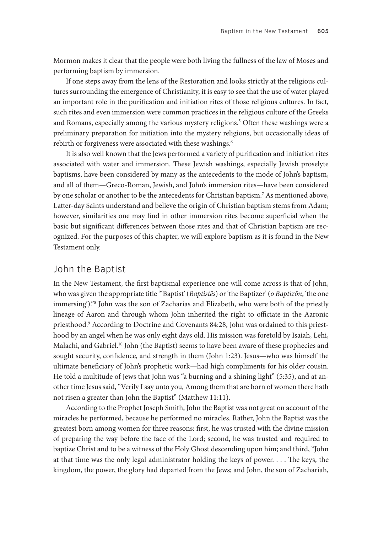Mormon makes it clear that the people were both living the fullness of the law of Moses and performing baptism by immersion.

If one steps away from the lens of the Restoration and looks strictly at the religious cultures surrounding the emergence of Christianity, it is easy to see that the use of water played an important role in the purification and initiation rites of those religious cultures. In fact, such rites and even immersion were common practices in the religious culture of the Greeks and Romans, especially among the various mystery religions.<sup>5</sup> Often these washings were a preliminary preparation for initiation into the mystery religions, but occasionally ideas of rebirth or forgiveness were associated with these washings.<sup>6</sup>

It is also well known that the Jews performed a variety of purification and initiation rites associated with water and immersion. These Jewish washings, especially Jewish proselyte baptisms, have been considered by many as the antecedents to the mode of John's baptism, and all of them—Greco-Roman, Jewish, and John's immersion rites—have been considered by one scholar or another to be the antecedents for Christian baptism.<sup>7</sup> As mentioned above, Latter-day Saints understand and believe the origin of Christian baptism stems from Adam; however, similarities one may find in other immersion rites become superficial when the basic but significant differences between those rites and that of Christian baptism are recognized. For the purposes of this chapter, we will explore baptism as it is found in the New Testament only.

## John the Baptist

In the New Testament, the first baptismal experience one will come across is that of John, who was given the appropriate title "'Baptist' (*Baptistēs*) or 'the Baptizer' (*o Baptizōn*, 'the one immersing')."8 John was the son of Zacharias and Elizabeth, who were both of the priestly lineage of Aaron and through whom John inherited the right to officiate in the Aaronic priesthood.<sup>9</sup> According to Doctrine and Covenants 84:28, John was ordained to this priesthood by an angel when he was only eight days old. His mission was foretold by Isaiah, Lehi, Malachi, and Gabriel.<sup>10</sup> John (the Baptist) seems to have been aware of these prophecies and sought security, confidence, and strength in them (John 1:23). Jesus—who was himself the ultimate beneficiary of John's prophetic work—had high compliments for his older cousin. He told a multitude of Jews that John was "a burning and a shining light" (5:35), and at another time Jesus said, "Verily I say unto you, Among them that are born of women there hath not risen a greater than John the Baptist" (Matthew 11:11).

According to the Prophet Joseph Smith, John the Baptist was not great on account of the miracles he performed, because he performed no miracles. Rather, John the Baptist was the greatest born among women for three reasons: first, he was trusted with the divine mission of preparing the way before the face of the Lord; second, he was trusted and required to baptize Christ and to be a witness of the Holy Ghost descending upon him; and third, "John at that time was the only legal administrator holding the keys of power. . . . The keys, the kingdom, the power, the glory had departed from the Jews; and John, the son of Zachariah,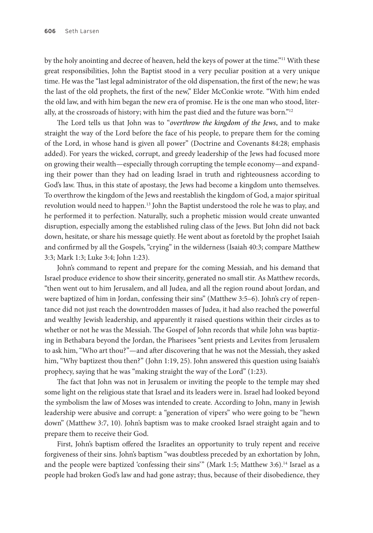by the holy anointing and decree of heaven, held the keys of power at the time."<sup>11</sup> With these great responsibilities, John the Baptist stood in a very peculiar position at a very unique time. He was the "last legal administrator of the old dispensation, the first of the new; he was the last of the old prophets, the first of the new," Elder McConkie wrote. "With him ended the old law, and with him began the new era of promise. He is the one man who stood, literally, at the crossroads of history; with him the past died and the future was born."12

The Lord tells us that John was to "*overthrow the kingdom of the Jews*, and to make straight the way of the Lord before the face of his people, to prepare them for the coming of the Lord, in whose hand is given all power" (Doctrine and Covenants 84:28; emphasis added). For years the wicked, corrupt, and greedy leadership of the Jews had focused more on growing their wealth—especially through corrupting the temple economy—and expanding their power than they had on leading Israel in truth and righteousness according to God's law. Thus, in this state of apostasy, the Jews had become a kingdom unto themselves. To overthrow the kingdom of the Jews and reestablish the kingdom of God, a major spiritual revolution would need to happen.<sup>13</sup> John the Baptist understood the role he was to play, and he performed it to perfection. Naturally, such a prophetic mission would create unwanted disruption, especially among the established ruling class of the Jews. But John did not back down, hesitate, or share his message quietly. He went about as foretold by the prophet Isaiah and confirmed by all the Gospels, "crying" in the wilderness (Isaiah 40:3; compare Matthew 3:3; Mark 1:3; Luke 3:4; John 1:23).

John's command to repent and prepare for the coming Messiah, and his demand that Israel produce evidence to show their sincerity, generated no small stir. As Matthew records, "then went out to him Jerusalem, and all Judea, and all the region round about Jordan, and were baptized of him in Jordan, confessing their sins" (Matthew 3:5–6). John's cry of repentance did not just reach the downtrodden masses of Judea, it had also reached the powerful and wealthy Jewish leadership, and apparently it raised questions within their circles as to whether or not he was the Messiah. The Gospel of John records that while John was baptizing in Bethabara beyond the Jordan, the Pharisees "sent priests and Levites from Jerusalem to ask him, "Who art thou?"—and after discovering that he was not the Messiah, they asked him, "Why baptizest thou then?" (John 1:19, 25). John answered this question using Isaiah's prophecy, saying that he was "making straight the way of the Lord" (1:23).

The fact that John was not in Jerusalem or inviting the people to the temple may shed some light on the religious state that Israel and its leaders were in. Israel had looked beyond the symbolism the law of Moses was intended to create. According to John, many in Jewish leadership were abusive and corrupt: a "generation of vipers" who were going to be "hewn down" (Matthew 3:7, 10). John's baptism was to make crooked Israel straight again and to prepare them to receive their God.

First, John's baptism offered the Israelites an opportunity to truly repent and receive forgiveness of their sins. John's baptism "was doubtless preceded by an exhortation by John, and the people were baptized 'confessing their sins'" (Mark 1:5; Matthew 3:6).<sup>14</sup> Israel as a people had broken God's law and had gone astray; thus, because of their disobedience, they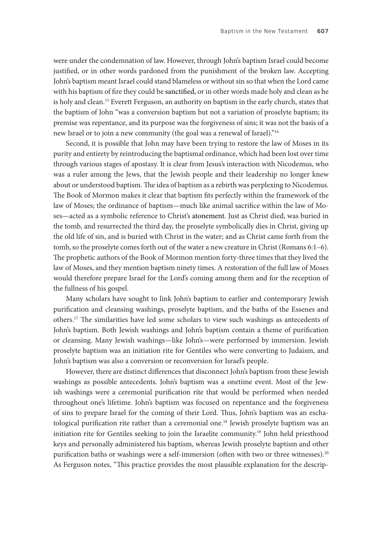were under the condemnation of law. However, through John's baptism Israel could become justified, or in other words pardoned from the punishment of the broken law. Accepting John's baptism meant Israel could stand blameless or without sin so that when the Lord came with his baptism of fire they could be sanctified, or in other words made holy and clean as he is holy and clean.15 Everett Ferguson, an authority on baptism in the early church, states that the baptism of John "was a conversion baptism but not a variation of proselyte baptism; its premise was repentance, and its purpose was the forgiveness of sins; it was not the basis of a new Israel or to join a new community (the goal was a renewal of Israel)."16

Second, it is possible that John may have been trying to restore the law of Moses in its purity and entirety by reintroducing the baptismal ordinance, which had been lost over time through various stages of apostasy. It is clear from Jesus's interaction with Nicodemus, who was a ruler among the Jews, that the Jewish people and their leadership no longer knew about or understood baptism. The idea of baptism as a rebirth was perplexing to Nicodemus. The Book of Mormon makes it clear that baptism fits perfectly within the framework of the law of Moses; the ordinance of baptism—much like animal sacrifice within the law of Moses—acted as a symbolic reference to Christ's atonement. Just as Christ died, was buried in the tomb, and resurrected the third day, the proselyte symbolically dies in Christ, giving up the old life of sin, and is buried with Christ in the water; and as Christ came forth from the tomb, so the proselyte comes forth out of the water a new creature in Christ (Romans 6:1–6). The prophetic authors of the Book of Mormon mention forty-three times that they lived the law of Moses, and they mention baptism ninety times. A restoration of the full law of Moses would therefore prepare Israel for the Lord's coming among them and for the reception of the fullness of his gospel.

Many scholars have sought to link John's baptism to earlier and contemporary Jewish purification and cleansing washings, proselyte baptism, and the baths of the Essenes and others.17 The similarities have led some scholars to view such washings as antecedents of John's baptism. Both Jewish washings and John's baptism contain a theme of purification or cleansing. Many Jewish washings—like John's—were performed by immersion. Jewish proselyte baptism was an initiation rite for Gentiles who were converting to Judaism, and John's baptism was also a conversion or reconversion for Israel's people.

However, there are distinct differences that disconnect John's baptism from these Jewish washings as possible antecedents. John's baptism was a onetime event. Most of the Jewish washings were a ceremonial purification rite that would be performed when needed throughout one's lifetime. John's baptism was focused on repentance and the forgiveness of sins to prepare Israel for the coming of their Lord. Thus, John's baptism was an eschatological purification rite rather than a ceremonial one.<sup>18</sup> Jewish proselyte baptism was an initiation rite for Gentiles seeking to join the Israelite community.19 John held priesthood keys and personally administered his baptism, whereas Jewish proselyte baptism and other purification baths or washings were a self-immersion (often with two or three witnesses).<sup>20</sup> As Ferguson notes, "This practice provides the most plausible explanation for the descrip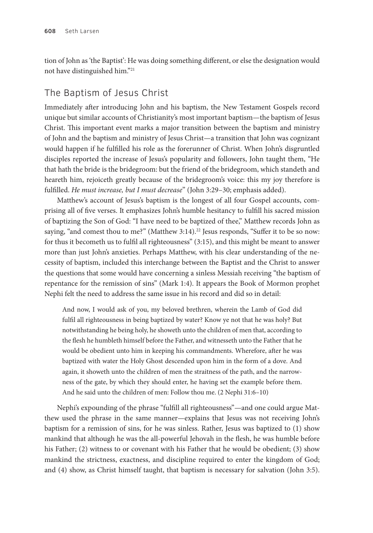tion of John as 'the Baptist': He was doing something different, or else the designation would not have distinguished him."21

# The Baptism of Jesus Christ

Immediately after introducing John and his baptism, the New Testament Gospels record unique but similar accounts of Christianity's most important baptism—the baptism of Jesus Christ. This important event marks a major transition between the baptism and ministry of John and the baptism and ministry of Jesus Christ—a transition that John was cognizant would happen if he fulfilled his role as the forerunner of Christ. When John's disgruntled disciples reported the increase of Jesus's popularity and followers, John taught them, "He that hath the bride is the bridegroom: but the friend of the bridegroom, which standeth and heareth him, rejoiceth greatly because of the bridegroom's voice: this my joy therefore is fulfilled. *He must increase, but I must decrease*" (John 3:29–30; emphasis added).

Matthew's account of Jesus's baptism is the longest of all four Gospel accounts, comprising all of five verses. It emphasizes John's humble hesitancy to fulfill his sacred mission of baptizing the Son of God: "I have need to be baptized of thee," Matthew records John as saying, "and comest thou to me?" (Matthew 3:14).<sup>22</sup> Jesus responds, "Suffer it to be so now: for thus it becometh us to fulfil all righteousness" (3:15), and this might be meant to answer more than just John's anxieties. Perhaps Matthew, with his clear understanding of the necessity of baptism, included this interchange between the Baptist and the Christ to answer the questions that some would have concerning a sinless Messiah receiving "the baptism of repentance for the remission of sins" (Mark 1:4). It appears the Book of Mormon prophet Nephi felt the need to address the same issue in his record and did so in detail:

And now, I would ask of you, my beloved brethren, wherein the Lamb of God did fulfil all righteousness in being baptized by water? Know ye not that he was holy? But notwithstanding he being holy, he showeth unto the children of men that, according to the flesh he humbleth himself before the Father, and witnesseth unto the Father that he would be obedient unto him in keeping his commandments. Wherefore, after he was baptized with water the Holy Ghost descended upon him in the form of a dove. And again, it showeth unto the children of men the straitness of the path, and the narrowness of the gate, by which they should enter, he having set the example before them. And he said unto the children of men: Follow thou me. (2 Nephi 31:6–10)

Nephi's expounding of the phrase "fulfill all righteousness"—and one could argue Matthew used the phrase in the same manner—explains that Jesus was not receiving John's baptism for a remission of sins, for he was sinless. Rather, Jesus was baptized to (1) show mankind that although he was the all-powerful Jehovah in the flesh, he was humble before his Father; (2) witness to or covenant with his Father that he would be obedient; (3) show mankind the strictness, exactness, and discipline required to enter the kingdom of God; and (4) show, as Christ himself taught, that baptism is necessary for salvation (John 3:5).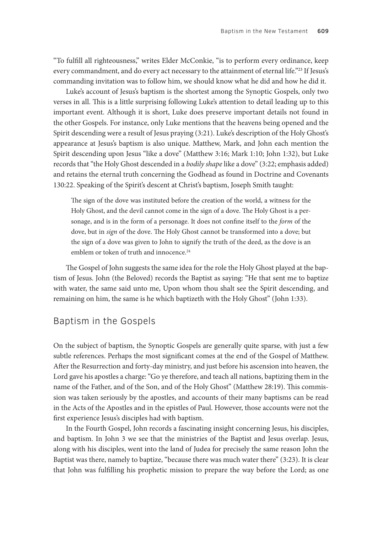"To fulfill all righteousness," writes Elder McConkie, "is to perform every ordinance, keep every commandment, and do every act necessary to the attainment of eternal life."23 If Jesus's commanding invitation was to follow him, we should know what he did and how he did it.

Luke's account of Jesus's baptism is the shortest among the Synoptic Gospels, only two verses in all. This is a little surprising following Luke's attention to detail leading up to this important event. Although it is short, Luke does preserve important details not found in the other Gospels. For instance, only Luke mentions that the heavens being opened and the Spirit descending were a result of Jesus praying (3:21). Luke's description of the Holy Ghost's appearance at Jesus's baptism is also unique. Matthew, Mark, and John each mention the Spirit descending upon Jesus "like a dove" (Matthew 3:16; Mark 1:10; John 1:32), but Luke records that "the Holy Ghost descended in a *bodily shape* like a dove" (3:22; emphasis added) and retains the eternal truth concerning the Godhead as found in Doctrine and Covenants 130:22. Speaking of the Spirit's descent at Christ's baptism, Joseph Smith taught:

The sign of the dove was instituted before the creation of the world, a witness for the Holy Ghost, and the devil cannot come in the sign of a dove. The Holy Ghost is a personage, and is in the form of a personage. It does not confine itself to the *form* of the dove, but in *sign* of the dove. The Holy Ghost cannot be transformed into a dove; but the sign of a dove was given to John to signify the truth of the deed, as the dove is an emblem or token of truth and innocence.<sup>24</sup>

The Gospel of John suggests the same idea for the role the Holy Ghost played at the baptism of Jesus. John (the Beloved) records the Baptist as saying: "He that sent me to baptize with water, the same said unto me, Upon whom thou shalt see the Spirit descending, and remaining on him, the same is he which baptizeth with the Holy Ghost" (John 1:33).

## Baptism in the Gospels

On the subject of baptism, the Synoptic Gospels are generally quite sparse, with just a few subtle references. Perhaps the most significant comes at the end of the Gospel of Matthew. After the Resurrection and forty-day ministry, and just before his ascension into heaven, the Lord gave his apostles a charge: "Go ye therefore, and teach all nations, baptizing them in the name of the Father, and of the Son, and of the Holy Ghost" (Matthew 28:19). This commission was taken seriously by the apostles, and accounts of their many baptisms can be read in the Acts of the Apostles and in the epistles of Paul. However, those accounts were not the first experience Jesus's disciples had with baptism.

In the Fourth Gospel, John records a fascinating insight concerning Jesus, his disciples, and baptism. In John 3 we see that the ministries of the Baptist and Jesus overlap. Jesus, along with his disciples, went into the land of Judea for precisely the same reason John the Baptist was there, namely to baptize, "because there was much water there" (3:23). It is clear that John was fulfilling his prophetic mission to prepare the way before the Lord; as one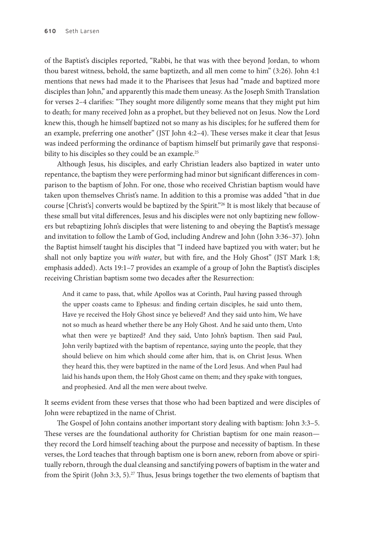of the Baptist's disciples reported, "Rabbi, he that was with thee beyond Jordan, to whom thou barest witness, behold, the same baptizeth, and all men come to him" (3:26). John 4:1 mentions that news had made it to the Pharisees that Jesus had "made and baptized more disciples than John," and apparently this made them uneasy. As the Joseph Smith Translation for verses 2–4 clarifies: "They sought more diligently some means that they might put him to death; for many received John as a prophet, but they believed not on Jesus. Now the Lord knew this, though he himself baptized not so many as his disciples; for he suffered them for an example, preferring one another" (JST John 4:2–4). These verses make it clear that Jesus was indeed performing the ordinance of baptism himself but primarily gave that responsibility to his disciples so they could be an example.<sup>25</sup>

Although Jesus, his disciples, and early Christian leaders also baptized in water unto repentance, the baptism they were performing had minor but significant differences in comparison to the baptism of John. For one, those who received Christian baptism would have taken upon themselves Christ's name. In addition to this a promise was added "that in due course [Christ's] converts would be baptized by the Spirit."26 It is most likely that because of these small but vital differences, Jesus and his disciples were not only baptizing new followers but rebaptizing John's disciples that were listening to and obeying the Baptist's message and invitation to follow the Lamb of God, including Andrew and John (John 3:36–37). John the Baptist himself taught his disciples that "I indeed have baptized you with water; but he shall not only baptize you *with water*, but with fire, and the Holy Ghost" (JST Mark 1:8; emphasis added). Acts 19:1–7 provides an example of a group of John the Baptist's disciples receiving Christian baptism some two decades after the Resurrection:

And it came to pass, that, while Apollos was at Corinth, Paul having passed through the upper coasts came to Ephesus: and finding certain disciples, he said unto them, Have ye received the Holy Ghost since ye believed? And they said unto him, We have not so much as heard whether there be any Holy Ghost. And he said unto them, Unto what then were ye baptized? And they said, Unto John's baptism. Then said Paul, John verily baptized with the baptism of repentance, saying unto the people, that they should believe on him which should come after him, that is, on Christ Jesus. When they heard this, they were baptized in the name of the Lord Jesus. And when Paul had laid his hands upon them, the Holy Ghost came on them; and they spake with tongues, and prophesied. And all the men were about twelve.

It seems evident from these verses that those who had been baptized and were disciples of John were rebaptized in the name of Christ.

The Gospel of John contains another important story dealing with baptism: John 3:3–5. These verses are the foundational authority for Christian baptism for one main reason they record the Lord himself teaching about the purpose and necessity of baptism. In these verses, the Lord teaches that through baptism one is born anew, reborn from above or spiritually reborn, through the dual cleansing and sanctifying powers of baptism in the water and from the Spirit (John 3:3, 5).<sup>27</sup> Thus, Jesus brings together the two elements of baptism that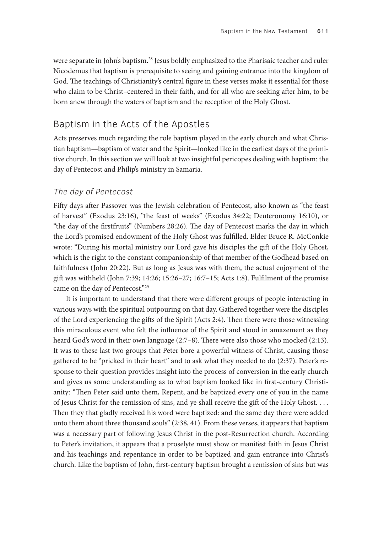were separate in John's baptism.<sup>28</sup> Jesus boldly emphasized to the Pharisaic teacher and ruler Nicodemus that baptism is prerequisite to seeing and gaining entrance into the kingdom of God. The teachings of Christianity's central figure in these verses make it essential for those who claim to be Christ–centered in their faith, and for all who are seeking after him, to be born anew through the waters of baptism and the reception of the Holy Ghost.

## Baptism in the Acts of the Apostles

Acts preserves much regarding the role baptism played in the early church and what Christian baptism—baptism of water and the Spirit—looked like in the earliest days of the primitive church. In this section we will look at two insightful pericopes dealing with baptism: the day of Pentecost and Philip's ministry in Samaria.

#### The day of Pentecost

Fifty days after Passover was the Jewish celebration of Pentecost, also known as "the feast of harvest" (Exodus 23:16), "the feast of weeks" (Exodus 34:22; Deuteronomy 16:10), or "the day of the firstfruits" (Numbers 28:26). The day of Pentecost marks the day in which the Lord's promised endowment of the Holy Ghost was fulfilled. Elder Bruce R. McConkie wrote: "During his mortal ministry our Lord gave his disciples the gift of the Holy Ghost, which is the right to the constant companionship of that member of the Godhead based on faithfulness (John 20:22). But as long as Jesus was with them, the actual enjoyment of the gift was withheld (John 7:39; 14:26; 15:26–27; 16:7–15; Acts 1:8). Fulfilment of the promise came on the day of Pentecost."29

It is important to understand that there were different groups of people interacting in various ways with the spiritual outpouring on that day. Gathered together were the disciples of the Lord experiencing the gifts of the Spirit (Acts 2:4). Then there were those witnessing this miraculous event who felt the influence of the Spirit and stood in amazement as they heard God's word in their own language (2:7–8). There were also those who mocked (2:13). It was to these last two groups that Peter bore a powerful witness of Christ, causing those gathered to be "pricked in their heart" and to ask what they needed to do (2:37). Peter's response to their question provides insight into the process of conversion in the early church and gives us some understanding as to what baptism looked like in first-century Christianity: "Then Peter said unto them, Repent, and be baptized every one of you in the name of Jesus Christ for the remission of sins, and ye shall receive the gift of the Holy Ghost. . . . Then they that gladly received his word were baptized: and the same day there were added unto them about three thousand souls" (2:38, 41). From these verses, it appears that baptism was a necessary part of following Jesus Christ in the post-Resurrection church. According to Peter's invitation, it appears that a proselyte must show or manifest faith in Jesus Christ and his teachings and repentance in order to be baptized and gain entrance into Christ's church. Like the baptism of John, first-century baptism brought a remission of sins but was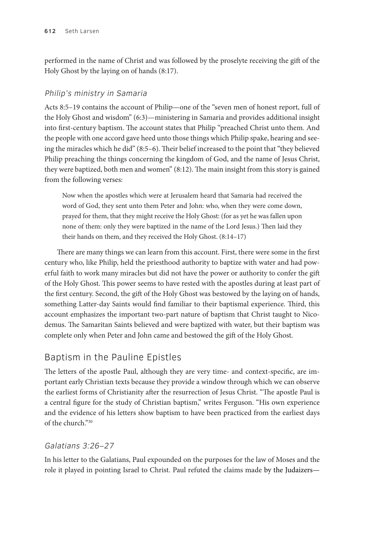performed in the name of Christ and was followed by the proselyte receiving the gift of the Holy Ghost by the laying on of hands (8:17).

## Philip's ministry in Samaria

Acts 8:5–19 contains the account of Philip—one of the "seven men of honest report, full of the Holy Ghost and wisdom" (6:3)—ministering in Samaria and provides additional insight into first-century baptism. The account states that Philip "preached Christ unto them. And the people with one accord gave heed unto those things which Philip spake, hearing and seeing the miracles which he did" (8:5–6). Their belief increased to the point that "they believed Philip preaching the things concerning the kingdom of God, and the name of Jesus Christ, they were baptized, both men and women" (8:12). The main insight from this story is gained from the following verses:

Now when the apostles which were at Jerusalem heard that Samaria had received the word of God, they sent unto them Peter and John: who, when they were come down, prayed for them, that they might receive the Holy Ghost: (for as yet he was fallen upon none of them: only they were baptized in the name of the Lord Jesus.) Then laid they their hands on them, and they received the Holy Ghost. (8:14–17)

There are many things we can learn from this account. First, there were some in the first century who, like Philip, held the priesthood authority to baptize with water and had powerful faith to work many miracles but did not have the power or authority to confer the gift of the Holy Ghost. This power seems to have rested with the apostles during at least part of the first century. Second, the gift of the Holy Ghost was bestowed by the laying on of hands, something Latter-day Saints would find familiar to their baptismal experience. Third, this account emphasizes the important two-part nature of baptism that Christ taught to Nicodemus. The Samaritan Saints believed and were baptized with water, but their baptism was complete only when Peter and John came and bestowed the gift of the Holy Ghost.

# Baptism in the Pauline Epistles

The letters of the apostle Paul, although they are very time- and context-specific, are important early Christian texts because they provide a window through which we can observe the earliest forms of Christianity after the resurrection of Jesus Christ. "The apostle Paul is a central figure for the study of Christian baptism," writes Ferguson. "His own experience and the evidence of his letters show baptism to have been practiced from the earliest days of the church."30

# Galatians 3:26–27

In his letter to the Galatians, Paul expounded on the purposes for the law of Moses and the role it played in pointing Israel to Christ. Paul refuted the claims made by the Judaizers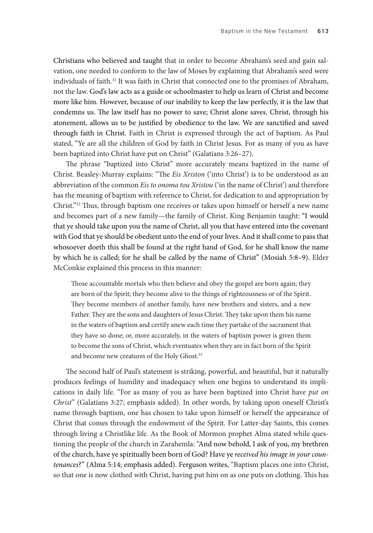Christians who believed and taught that in order to become Abraham's seed and gain salvation, one needed to conform to the law of Moses by explaining that Abraham's seed were individuals of faith.<sup>31</sup> It was faith in Christ that connected one to the promises of Abraham, not the law. God's law acts as a guide or schoolmaster to help us learn of Christ and become more like him. However, because of our inability to keep the law perfectly, it is the law that condemns us. The law itself has no power to save; Christ alone saves. Christ, through his atonement, allows us to be justified by obedience to the law. We are sanctified and saved through faith in Christ. Faith in Christ is expressed through the act of baptism. As Paul stated, "Ye are all the children of God by faith in Christ Jesus. For as many of you as have been baptized into Christ have put on Christ" (Galatians 3:26–27).

The phrase "baptized into Christ" more accurately means baptized in the name of Christ. Beasley-Murray explains: "The *Eis Xriston* ('into Christ') is to be understood as an abbreviation of the common *Eis to onoma tou Xristou* ('in the name of Christ') and therefore has the meaning of baptism with reference to Christ, for dedication to and appropriation by Christ."32 Thus, through baptism one receives or takes upon himself or herself a new name and becomes part of a new family—the family of Christ. King Benjamin taught: "I would that ye should take upon you the name of Christ, all you that have entered into the covenant with God that ye should be obedient unto the end of your lives. And it shall come to pass that whosoever doeth this shall be found at the right hand of God, for he shall know the name by which he is called; for he shall be called by the name of Christ" (Mosiah 5:8–9). Elder McConkie explained this process in this manner:

Those accountable mortals who then believe and obey the gospel are born again; they are born of the Spirit; they become alive to the things of righteousness or of the Spirit. They become members of another family, have new brothers and sisters, and a new Father. They are the sons and daughters of Jesus Christ. They take upon them his name in the waters of baptism and certify anew each time they partake of the sacrament that they have so done; or, more accurately, in the waters of baptism power is given them to become the sons of Christ, which eventuates when they are in fact born of the Spirit and become new creatures of the Holy Ghost.<sup>33</sup>

The second half of Paul's statement is striking, powerful, and beautiful, but it naturally produces feelings of humility and inadequacy when one begins to understand its implications in daily life. "For as many of you as have been baptized into Christ have *put on Christ*" (Galatians 3:27; emphasis added). In other words, by taking upon oneself Christ's name through baptism, one has chosen to take upon himself or herself the appearance of Christ that comes through the endowment of the Spirit. For Latter-day Saints, this comes through living a Christlike life. As the Book of Mormon prophet Alma stated while questioning the people of the church in Zarahemla: "And now behold, I ask of you, my brethren of the church, have ye spiritually been born of God? Have ye *received his image in your countenances*?" (Alma 5:14; emphasis added). Ferguson writes, "Baptism places one into Christ, so that one is now clothed with Christ, having put him on as one puts on clothing. This has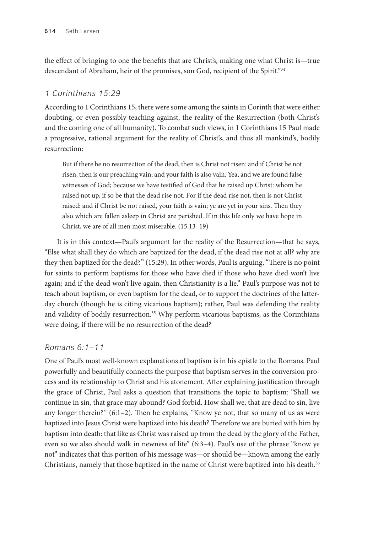the effect of bringing to one the benefits that are Christ's, making one what Christ is—true descendant of Abraham, heir of the promises, son God, recipient of the Spirit."34

## 1 Corinthians 15:29

According to 1 Corinthians 15, there were some among the saints in Corinth that were either doubting, or even possibly teaching against, the reality of the Resurrection (both Christ's and the coming one of all humanity). To combat such views, in 1 Corinthians 15 Paul made a progressive, rational argument for the reality of Christ's, and thus all mankind's, bodily resurrection:

But if there be no resurrection of the dead, then is Christ not risen: and if Christ be not risen, then is our preaching vain, and your faith is also vain. Yea, and we are found false witnesses of God; because we have testified of God that he raised up Christ: whom he raised not up, if so be that the dead rise not. For if the dead rise not, then is not Christ raised: and if Christ be not raised, your faith is vain; ye are yet in your sins. Then they also which are fallen asleep in Christ are perished. If in this life only we have hope in Christ, we are of all men most miserable. (15:13–19)

It is in this context—Paul's argument for the reality of the Resurrection—that he says, "Else what shall they do which are baptized for the dead, if the dead rise not at all? why are they then baptized for the dead?" (15:29). In other words, Paul is arguing, "There is no point for saints to perform baptisms for those who have died if those who have died won't live again; and if the dead won't live again, then Christianity is a lie." Paul's purpose was not to teach about baptism, or even baptism for the dead, or to support the doctrines of the latterday church (though he is citing vicarious baptism); rather, Paul was defending the reality and validity of bodily resurrection.<sup>35</sup> Why perform vicarious baptisms, as the Corinthians were doing, if there will be no resurrection of the dead?

### Romans 6:1–11

One of Paul's most well-known explanations of baptism is in his epistle to the Romans. Paul powerfully and beautifully connects the purpose that baptism serves in the conversion process and its relationship to Christ and his atonement. After explaining justification through the grace of Christ, Paul asks a question that transitions the topic to baptism: "Shall we continue in sin, that grace may abound? God forbid. How shall we, that are dead to sin, live any longer therein?" (6:1–2). Then he explains, "Know ye not, that so many of us as were baptized into Jesus Christ were baptized into his death? Therefore we are buried with him by baptism into death: that like as Christ was raised up from the dead by the glory of the Father, even so we also should walk in newness of life" (6:3–4). Paul's use of the phrase "know ye not" indicates that this portion of his message was—or should be—known among the early Christians, namely that those baptized in the name of Christ were baptized into his death.<sup>36</sup>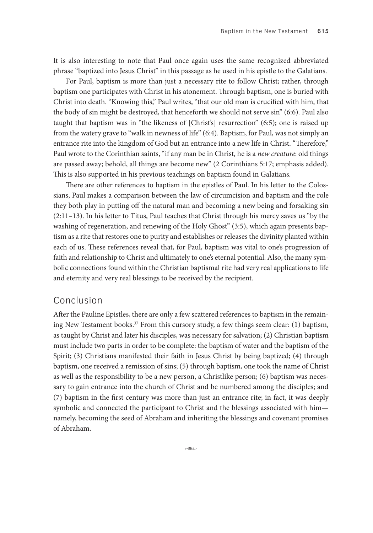It is also interesting to note that Paul once again uses the same recognized abbreviated phrase "baptized into Jesus Christ" in this passage as he used in his epistle to the Galatians.

For Paul, baptism is more than just a necessary rite to follow Christ; rather, through baptism one participates with Christ in his atonement. Through baptism, one is buried with Christ into death. "Knowing this," Paul writes, "that our old man is crucified with him, that the body of sin might be destroyed, that henceforth we should not serve sin" (6:6). Paul also taught that baptism was in "the likeness of [Christ's] resurrection" (6:5); one is raised up from the watery grave to "walk in newness of life" (6:4). Baptism, for Paul, was not simply an entrance rite into the kingdom of God but an entrance into a new life in Christ. "Therefore," Paul wrote to the Corinthian saints, "if any man be in Christ, he is a *new creature*: old things are passed away; behold, all things are become new" (2 Corinthians 5:17; emphasis added). This is also supported in his previous teachings on baptism found in Galatians.

There are other references to baptism in the epistles of Paul. In his letter to the Colossians, Paul makes a comparison between the law of circumcision and baptism and the role they both play in putting off the natural man and becoming a new being and forsaking sin (2:11–13). In his letter to Titus, Paul teaches that Christ through his mercy saves us "by the washing of regeneration, and renewing of the Holy Ghost" (3:5), which again presents baptism as a rite that restores one to purity and establishes or releases the divinity planted within each of us. These references reveal that, for Paul, baptism was vital to one's progression of faith and relationship to Christ and ultimately to one's eternal potential. Also, the many symbolic connections found within the Christian baptismal rite had very real applications to life and eternity and very real blessings to be received by the recipient.

### Conclusion

After the Pauline Epistles, there are only a few scattered references to baptism in the remaining New Testament books.<sup>37</sup> From this cursory study, a few things seem clear: (1) baptism, as taught by Christ and later his disciples, was necessary for salvation; (2) Christian baptism must include two parts in order to be complete: the baptism of water and the baptism of the Spirit; (3) Christians manifested their faith in Jesus Christ by being baptized; (4) through baptism, one received a remission of sins; (5) through baptism, one took the name of Christ as well as the responsibility to be a new person, a Christlike person; (6) baptism was necessary to gain entrance into the church of Christ and be numbered among the disciples; and (7) baptism in the first century was more than just an entrance rite; in fact, it was deeply symbolic and connected the participant to Christ and the blessings associated with him namely, becoming the seed of Abraham and inheriting the blessings and covenant promises of Abraham.

بنجت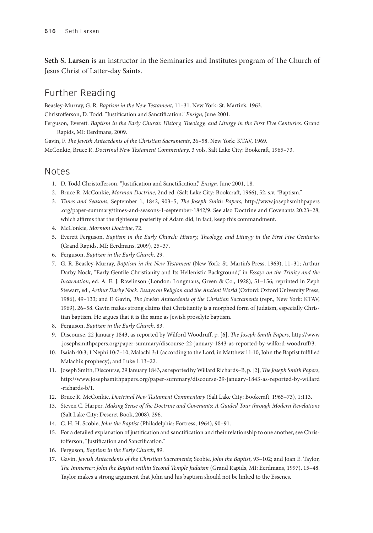**Seth S. Larsen** is an instructor in the Seminaries and Institutes program of The Church of Jesus Christ of Latter-day Saints.

# Further Reading

Beasley-Murray, G. R. *Baptism in the New Testament*, 11–31. New York: St. Martin's, 1963. Christofferson, D. Todd. "Justification and Sanctification." *Ensign*, June 2001. Ferguson, Everett. *Baptism in the Early Church: History, Theology, and Liturgy in the First Five Centuries*. Grand

Rapids, MI: Eerdmans, 2009. Gavin, F. *The Jewish Antecedents of the Christian Sacraments*, 26–58. New York: KTAV, 1969. McConkie, Bruce R. *Doctrinal New Testament Commentary*. 3 vols. Salt Lake City: Bookcraft, 1965–73.

# Notes

- 1. D. Todd Christofferson, "Justification and Sanctification," *Ensign*, June 2001, 18.
- 2. Bruce R. McConkie, *Mormon Doctrine*, 2nd ed. (Salt Lake City: Bookcraft, 1966), 52, s.v. "Baptism."
- 3. *Times and Seasons*, September 1, 1842, 903–5, *The Joseph Smith Papers*, http://www.josephsmithpapers .org/paper-summary/times-and-seasons-1-september-1842/9. See also Doctrine and Covenants 20:23–28, which affirms that the righteous posterity of Adam did, in fact, keep this commandment.
- 4. McConkie, *Mormon Doctrine*, 72.
- 5. Everett Ferguson, *Baptism in the Early Church: History, Theology, and Liturgy in the First Five Centurie*s (Grand Rapids, MI: Eerdmans, 2009), 25–37.
- 6. Ferguson, *Baptism in the Early Church*, 29.
- 7. G. R. Beasley-Murray, *Baptism in the New Testament* (New York: St. Martin's Press, 1963), 11–31; Arthur Darby Nock, "Early Gentile Christianity and Its Hellenistic Background," in *Essays on the Trinity and the Incarnation*, ed. A. E. J. Rawlinson (London: Longmans, Green & Co., 1928), 51–156; reprinted in Zeph Stewart, ed., *Arthur Darby Nock: Essays on Religion and the Ancient World* (Oxford: Oxford University Press, 1986), 49–133; and F. Gavin, *The Jewish Antecedents of the Christian Sacraments* (repr., New York: KTAV, 1969), 26–58. Gavin makes strong claims that Christianity is a morphed form of Judaism, especially Christian baptism. He argues that it is the same as Jewish proselyte baptism.
- 8. Ferguson, *Baptism in the Early Church*, 83.
- 9. Discourse, 22 January 1843, as reported by Wilford Woodruff, p. [6], *The Joseph Smith Papers*, http://www .josephsmithpapers.org/paper-summary/discourse-22-january-1843-as-reported-by-wilford-woodruff/3.
- 10. Isaiah 40:3; 1 Nephi 10:7–10; Malachi 3:1 (according to the Lord, in Matthew 11:10, John the Baptist fulfilled Malachi's prophecy); and Luke 1:13–22.
- 11. Joseph Smith, Discourse, 29 January 1843, as reported by Willard Richards–B, p. [2], *The Joseph Smith Papers*, http://www.josephsmithpapers.org/paper-summary/discourse-29-january-1843-as-reported-by-willard -richards-b/1.
- 12. Bruce R. McConkie, *Doctrinal New Testament Commentary* (Salt Lake City: Bookcraft, 1965–73), 1:113.
- 13. Steven C. Harper, *Making Sense of the Doctrine and Covenants: A Guided Tour through Modern Revelations* (Salt Lake City: Deseret Book, 2008), 296.
- 14. C. H. H. Scobie, *John the Baptist* (Philadelphia: Fortress, 1964), 90–91.
- 15. For a detailed explanation of justification and sanctification and their relationship to one another, see Christofferson, "Justification and Sanctification."
- 16. Ferguson, *Baptism in the Early Church*, 89.
- 17. Gavin, *Jewish Antecedents of the Christian Sacraments*; Scobie, *John the Baptist*, 93–102; and Joan E. Taylor, *The Immerser: John the Baptist within Second Temple Judaism* (Grand Rapids, MI: Eerdmans, 1997), 15–48. Taylor makes a strong argument that John and his baptism should not be linked to the Essenes.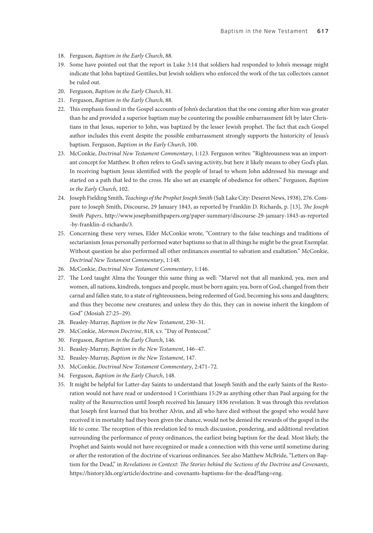- 18. Ferguson, *Baptism in the Early Church*, 88.
- 19. Some have pointed out that the report in Luke 3:14 that soldiers had responded to John's message might indicate that John baptized Gentiles, but Jewish soldiers who enforced the work of the tax collectors cannot be ruled out.
- 20. Ferguson, *Baptism in the Early Church*, 81.
- 21. Ferguson, *Baptism in the Early Church*, 88.
- 22. This emphasis found in the Gospel accounts of John's declaration that the one coming after him was greater than he and provided a superior baptism may be countering the possible embarrassment felt by later Christians in that Jesus, superior to John, was baptized by the lesser Jewish prophet. The fact that each Gospel author includes this event despite the possible embarrassment strongly supports the historicity of Jesus's baptism. Ferguson, *Baptism in the Early Church*, 100.
- 23. McConkie, *Doctrinal New Testament Commentary*, 1:123. Ferguson writes: "Righteousness was an important concept for Matthew. It often refers to God's saving activity, but here it likely means to obey God's plan. In receiving baptism Jesus identified with the people of Israel to whom John addressed his message and started on a path that led to the cross. He also set an example of obedience for others." Ferguson, *Baptism in the Early Church*, 102.
- 24. Joseph Fielding Smith, *Teachings of the Prophet Joseph Smith* (Salt Lake City: Deseret News, 1938), 276. Compare to Joseph Smith, Discourse, 29 January 1843, as reported by Franklin D. Richards, p. [13], *The Joseph Smith Papers*, http://www.josephsmithpapers.org/paper-summary/discourse-29-january-1843-as-reported -by-franklin-d-richards/3.
- 25. Concerning these very verses, Elder McConkie wrote, "Contrary to the false teachings and traditions of sectarianism Jesus personally performed water baptisms so that in all things he might be the great Exemplar. Without question he also performed all other ordinances essential to salvation and exaltation." McConkie, *Doctrinal New Testament Commentary*, 1:148.
- 26. McConkie, *Doctrinal New Testament Commentary*, 1:146.
- 27. The Lord taught Alma the Younger this same thing as well: "Marvel not that all mankind, yea, men and women, all nations, kindreds, tongues and people, must be born again; yea, born of God, changed from their carnal and fallen state, to a state of righteousness, being redeemed of God, becoming his sons and daughters; and thus they become new creatures; and unless they do this, they can in nowise inherit the kingdom of God" (Mosiah 27:25–29).
- 28. Beasley-Murray, *Baptism in the New Testament*, 230–31.
- 29. McConkie, *Mormon Doctrine*, 818, s.v. "Day of Pentecost."
- 30. Ferguson, *Baptism in the Early Church*, 146.
- 31. Beasley-Murray, *Baptism in the New Testament*, 146–47.
- 32. Beasley-Murray, *Baptism in the New Testament*, 147.
- 33. McConkie, *Doctrinal New Testament Commentary*, 2:471–72.
- 34. Ferguson, *Baptism in the Early Church*, 148.
- 35. It might be helpful for Latter-day Saints to understand that Joseph Smith and the early Saints of the Restoration would not have read or understood 1 Corinthians 15:29 as anything other than Paul arguing for the reality of the Resurrection until Joseph received his January 1836 revelation. It was through this revelation that Joseph first learned that his brother Alvin, and all who have died without the gospel who would have received it in mortality had they been given the chance, would not be denied the rewards of the gospel in the life to come. The reception of this revelation led to much discussion, pondering, and additional revelation surrounding the performance of proxy ordinances, the earliest being baptism for the dead. Most likely, the Prophet and Saints would not have recognized or made a connection with this verse until sometime during or after the restoration of the doctrine of vicarious ordinances. See also Matthew McBride, "Letters on Baptism for the Dead," in *Revelations in Context: The Stories behind the Sections of the Doctrine and Covenants*, https://history.lds.org/article/doctrine-and-covenants-baptisms-for-the-dead?lang=eng.